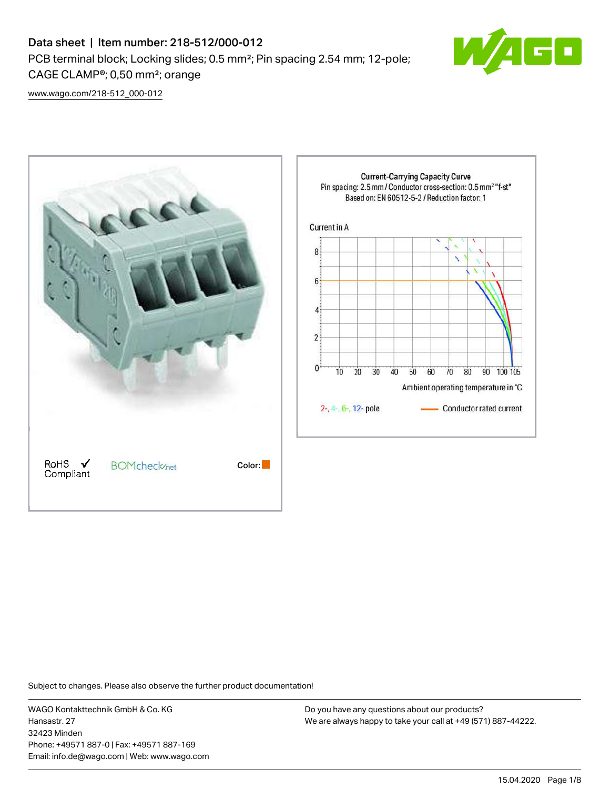# Data sheet | Item number: 218-512/000-012 PCB terminal block; Locking slides; 0.5 mm²; Pin spacing 2.54 mm; 12-pole; CAGE CLAMP®; 0,50 mm²; orange



[www.wago.com/218-512\\_000-012](http://www.wago.com/218-512_000-012)



Subject to changes. Please also observe the further product documentation!

WAGO Kontakttechnik GmbH & Co. KG Hansastr. 27 32423 Minden Phone: +49571 887-0 | Fax: +49571 887-169 Email: info.de@wago.com | Web: www.wago.com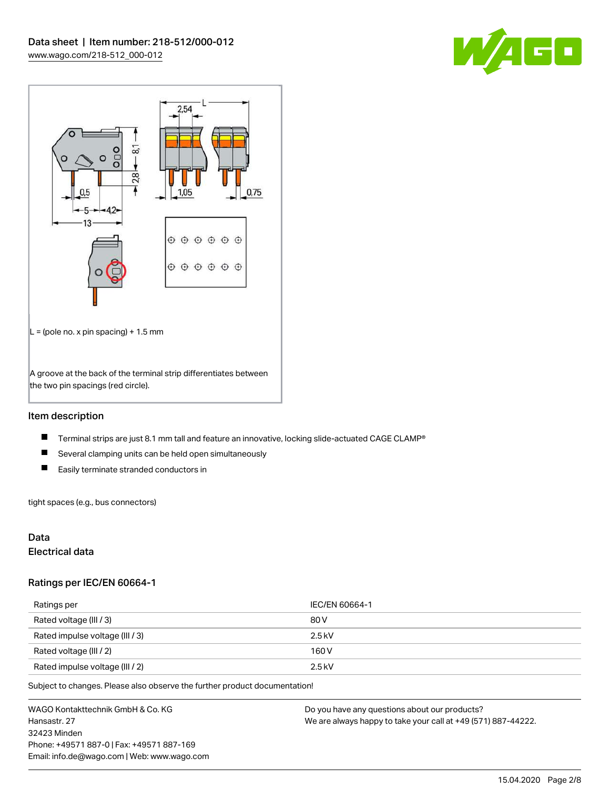



# Item description

- $\blacksquare$ Terminal strips are just 8.1 mm tall and feature an innovative, locking slide-actuated CAGE CLAMP®
- $\blacksquare$ Several clamping units can be held open simultaneously
- $\blacksquare$ Easily terminate stranded conductors in

tight spaces (e.g., bus connectors)

# Data

# Electrical data

#### Ratings per IEC/EN 60664-1

| Ratings per                     | IEC/EN 60664-1 |
|---------------------------------|----------------|
| Rated voltage (III / 3)         | 80 V           |
| Rated impulse voltage (III / 3) | $2.5$ kV       |
| Rated voltage (III / 2)         | 160 V          |
| Rated impulse voltage (III / 2) | $2.5$ kV       |

Subject to changes. Please also observe the further product documentation!

WAGO Kontakttechnik GmbH & Co. KG Hansastr. 27 32423 Minden Phone: +49571 887-0 | Fax: +49571 887-169 Email: info.de@wago.com | Web: www.wago.com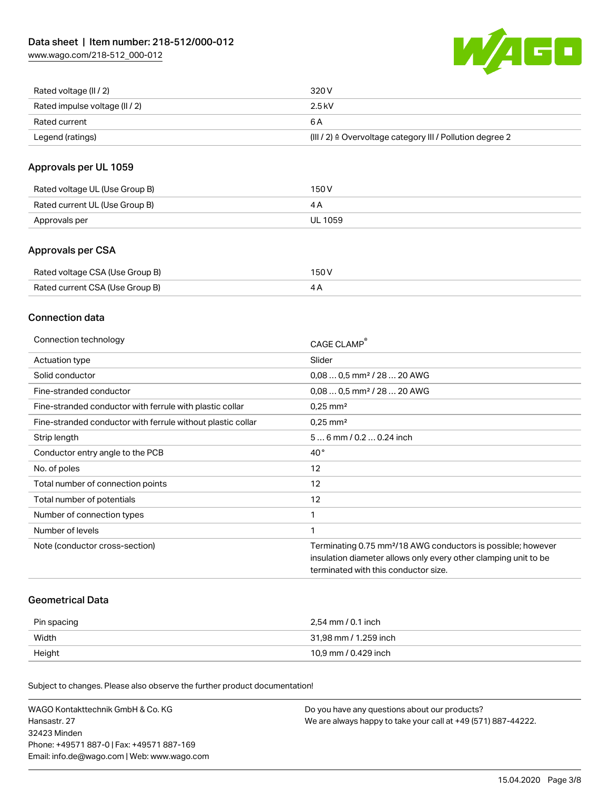[www.wago.com/218-512\\_000-012](http://www.wago.com/218-512_000-012)



| Rated voltage (II / 2)         | 320 V                                                                 |
|--------------------------------|-----------------------------------------------------------------------|
| Rated impulse voltage (II / 2) | 2.5 kV                                                                |
| Rated current                  | 6 A                                                                   |
| Legend (ratings)               | $(III / 2)$ $\triangle$ Overvoltage category III / Pollution degree 2 |

# Approvals per UL 1059

| Rated voltage UL (Use Group B) | 150 V   |
|--------------------------------|---------|
| Rated current UL (Use Group B) |         |
| Approvals per                  | UL 1059 |

# Approvals per CSA

| Rated voltage CSA (Use Group B) | 150 V |
|---------------------------------|-------|
| Rated current CSA (Use Group B) |       |

# Connection data

| Connection technology                                       | CAGE CLAMP                                                                                                                                                                          |
|-------------------------------------------------------------|-------------------------------------------------------------------------------------------------------------------------------------------------------------------------------------|
| Actuation type                                              | Slider                                                                                                                                                                              |
| Solid conductor                                             | $0.080.5$ mm <sup>2</sup> / 28  20 AWG                                                                                                                                              |
| Fine-stranded conductor                                     | $0.080.5$ mm <sup>2</sup> / 28  20 AWG                                                                                                                                              |
| Fine-stranded conductor with ferrule with plastic collar    | $0.25$ mm <sup>2</sup>                                                                                                                                                              |
| Fine-stranded conductor with ferrule without plastic collar | $0.25$ mm <sup>2</sup>                                                                                                                                                              |
| Strip length                                                | $56$ mm $/ 0.20.24$ inch                                                                                                                                                            |
| Conductor entry angle to the PCB                            | $40^{\circ}$                                                                                                                                                                        |
| No. of poles                                                | 12                                                                                                                                                                                  |
| Total number of connection points                           | 12                                                                                                                                                                                  |
| Total number of potentials                                  | 12                                                                                                                                                                                  |
| Number of connection types                                  |                                                                                                                                                                                     |
| Number of levels                                            | 1                                                                                                                                                                                   |
| Note (conductor cross-section)                              | Terminating 0.75 mm <sup>2</sup> /18 AWG conductors is possible; however<br>insulation diameter allows only every other clamping unit to be<br>terminated with this conductor size. |

## Geometrical Data

| Pin spacing | 2,54 mm / 0.1 inch    |
|-------------|-----------------------|
| Width       | 31,98 mm / 1.259 inch |
| Height      | 10,9 mm / 0.429 inch  |

Subject to changes. Please also observe the further product documentation!

| WAGO Kontakttechnik GmbH & Co. KG           | Do you have any questions about our products?                 |
|---------------------------------------------|---------------------------------------------------------------|
| Hansastr, 27                                | We are always happy to take your call at +49 (571) 887-44222. |
| 32423 Minden                                |                                                               |
| Phone: +49571 887-01 Fax: +49571 887-169    |                                                               |
| Email: info.de@wago.com   Web: www.wago.com |                                                               |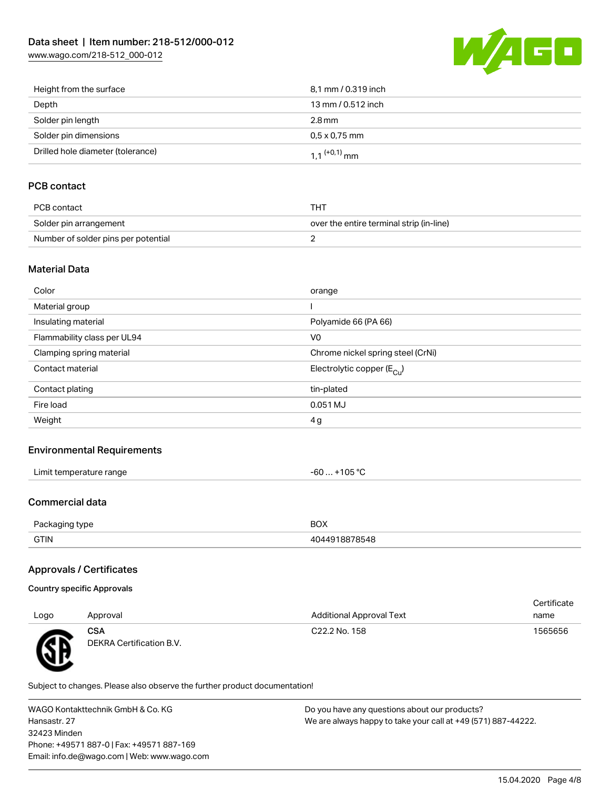[www.wago.com/218-512\\_000-012](http://www.wago.com/218-512_000-012)



| Height from the surface           | 8,1 mm / 0.319 inch        |
|-----------------------------------|----------------------------|
| Depth                             | 13 mm / 0.512 inch         |
| Solder pin length                 | 2.8 mm                     |
| Solder pin dimensions             | $0.5 \times 0.75$ mm       |
| Drilled hole diameter (tolerance) | $1.1$ <sup>(+0,1)</sup> mm |

# PCB contact

| PCB contact                         | THT                                      |
|-------------------------------------|------------------------------------------|
| Solder pin arrangement              | over the entire terminal strip (in-line) |
| Number of solder pins per potential |                                          |

## Material Data

| Color                       | orange                                |
|-----------------------------|---------------------------------------|
| Material group              |                                       |
| Insulating material         | Polyamide 66 (PA 66)                  |
| Flammability class per UL94 | V <sub>0</sub>                        |
| Clamping spring material    | Chrome nickel spring steel (CrNi)     |
| Contact material            | Electrolytic copper $(E_{\text{Cl}})$ |
| Contact plating             | tin-plated                            |
| Fire load                   | 0.051 MJ                              |
| Weight                      | 4g                                    |
|                             |                                       |

## Environmental Requirements

| $\cdots$<br>Limit temperature range<br>.<br>.<br>the contract of the contract of the contract of the contract of the contract of the contract of the contract of | 105 °C<br>$\overline{\phantom{a}}$<br>-61<br>υυ<br> |
|------------------------------------------------------------------------------------------------------------------------------------------------------------------|-----------------------------------------------------|
|------------------------------------------------------------------------------------------------------------------------------------------------------------------|-----------------------------------------------------|

## Commercial data

WУ

| $D_2 \cap k_2$ | <b>BOX</b> |
|----------------|------------|
| .:kadind tvbe  |            |
| <b>GTIN</b>    | 78548      |

# Approvals / Certificates

| Country specific Approvals |  |
|----------------------------|--|
|                            |  |

|      |                                 |                                 | Certificate |
|------|---------------------------------|---------------------------------|-------------|
| Logo | Approval                        | <b>Additional Approval Text</b> | name        |
| Æ    | CSA<br>DEKRA Certification B.V. | C22.2 No. 158                   | 1565656     |

Subject to changes. Please also observe the further product documentation!

WAGO Kontakttechnik GmbH & Co. KG Hansastr. 27 32423 Minden Phone: +49571 887-0 | Fax: +49571 887-169 Email: info.de@wago.com | Web: www.wago.com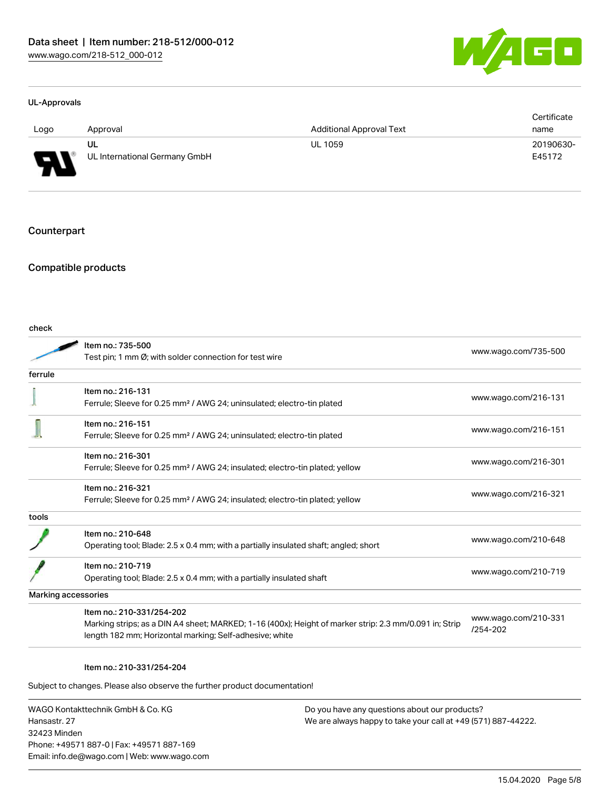

#### UL-Approvals

|          |                                     |                                 | Certificate         |
|----------|-------------------------------------|---------------------------------|---------------------|
| Logo     | Approval                            | <b>Additional Approval Text</b> | name                |
| L<br>. . | UL<br>UL International Germany GmbH | <b>UL 1059</b>                  | 20190630-<br>E45172 |

#### **Counterpart**

# Compatible products

| check   |                                                                                                                                                                                                |                                  |
|---------|------------------------------------------------------------------------------------------------------------------------------------------------------------------------------------------------|----------------------------------|
|         | Item no.: 735-500<br>Test pin; 1 mm Ø; with solder connection for test wire                                                                                                                    | www.wago.com/735-500             |
| ferrule |                                                                                                                                                                                                |                                  |
|         | Item no.: 216-131<br>Ferrule; Sleeve for 0.25 mm <sup>2</sup> / AWG 24; uninsulated; electro-tin plated                                                                                        | www.wago.com/216-131             |
|         | Item no.: 216-151<br>Ferrule; Sleeve for 0.25 mm <sup>2</sup> / AWG 24; uninsulated; electro-tin plated                                                                                        | www.wago.com/216-151             |
|         | Item no.: 216-301<br>Ferrule; Sleeve for 0.25 mm <sup>2</sup> / AWG 24; insulated; electro-tin plated; yellow                                                                                  | www.wago.com/216-301             |
|         | Item no.: 216-321<br>Ferrule; Sleeve for 0.25 mm <sup>2</sup> / AWG 24; insulated; electro-tin plated; yellow                                                                                  | www.wago.com/216-321             |
| tools   |                                                                                                                                                                                                |                                  |
|         | Item no.: 210-648<br>Operating tool; Blade: 2.5 x 0.4 mm; with a partially insulated shaft; angled; short                                                                                      | www.wago.com/210-648             |
|         | Item no.: 210-719<br>Operating tool; Blade: 2.5 x 0.4 mm; with a partially insulated shaft                                                                                                     | www.wago.com/210-719             |
|         | Marking accessories                                                                                                                                                                            |                                  |
|         | Item no.: 210-331/254-202<br>Marking strips; as a DIN A4 sheet; MARKED; 1-16 (400x); Height of marker strip: 2.3 mm/0.091 in; Strip<br>length 182 mm; Horizontal marking; Self-adhesive; white | www.wago.com/210-331<br>/254-202 |
|         |                                                                                                                                                                                                |                                  |

#### Item no.: 210-331/254-204

Subject to changes. Please also observe the further product documentation!

WAGO Kontakttechnik GmbH & Co. KG Hansastr. 27 32423 Minden Phone: +49571 887-0 | Fax: +49571 887-169 Email: info.de@wago.com | Web: www.wago.com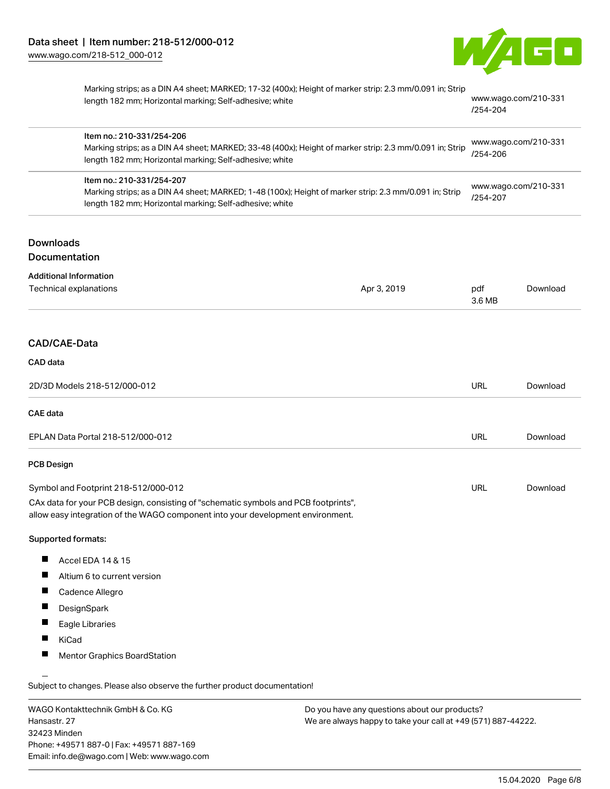

|                                                                                                                                                                                                | Marking strips; as a DIN A4 sheet; MARKED; 17-32 (400x); Height of marker strip: 2.3 mm/0.091 in; Strip<br>length 182 mm; Horizontal marking; Self-adhesive; white                              |                                  | /254-204                         | www.wago.com/210-331 |
|------------------------------------------------------------------------------------------------------------------------------------------------------------------------------------------------|-------------------------------------------------------------------------------------------------------------------------------------------------------------------------------------------------|----------------------------------|----------------------------------|----------------------|
|                                                                                                                                                                                                | Item no.: 210-331/254-206<br>Marking strips; as a DIN A4 sheet; MARKED; 33-48 (400x); Height of marker strip: 2.3 mm/0.091 in; Strip<br>length 182 mm; Horizontal marking; Self-adhesive; white |                                  | www.wago.com/210-331<br>/254-206 |                      |
| Item no.: 210-331/254-207<br>Marking strips; as a DIN A4 sheet; MARKED; 1-48 (100x); Height of marker strip: 2.3 mm/0.091 in; Strip<br>length 182 mm; Horizontal marking; Self-adhesive; white |                                                                                                                                                                                                 | www.wago.com/210-331<br>/254-207 |                                  |                      |
| <b>Downloads</b>                                                                                                                                                                               |                                                                                                                                                                                                 |                                  |                                  |                      |
| Documentation                                                                                                                                                                                  |                                                                                                                                                                                                 |                                  |                                  |                      |
| <b>Additional Information</b><br>Technical explanations                                                                                                                                        |                                                                                                                                                                                                 | Apr 3, 2019                      | pdf<br>3.6 MB                    | Download             |
| CAD/CAE-Data                                                                                                                                                                                   |                                                                                                                                                                                                 |                                  |                                  |                      |
| CAD data                                                                                                                                                                                       |                                                                                                                                                                                                 |                                  |                                  |                      |
|                                                                                                                                                                                                | 2D/3D Models 218-512/000-012                                                                                                                                                                    |                                  | <b>URL</b>                       | Download             |
| <b>CAE</b> data                                                                                                                                                                                |                                                                                                                                                                                                 |                                  |                                  |                      |
|                                                                                                                                                                                                | EPLAN Data Portal 218-512/000-012                                                                                                                                                               |                                  | <b>URL</b>                       | Download             |
| <b>PCB Design</b>                                                                                                                                                                              |                                                                                                                                                                                                 |                                  |                                  |                      |
|                                                                                                                                                                                                | Symbol and Footprint 218-512/000-012                                                                                                                                                            |                                  | <b>URL</b>                       | Download             |
|                                                                                                                                                                                                | CAx data for your PCB design, consisting of "schematic symbols and PCB footprints",<br>allow easy integration of the WAGO component into your development environment.                          |                                  |                                  |                      |
| Supported formats:                                                                                                                                                                             |                                                                                                                                                                                                 |                                  |                                  |                      |
| ш                                                                                                                                                                                              | Accel EDA 14 & 15                                                                                                                                                                               |                                  |                                  |                      |
|                                                                                                                                                                                                | Altium 6 to current version                                                                                                                                                                     |                                  |                                  |                      |
|                                                                                                                                                                                                | Cadence Allegro                                                                                                                                                                                 |                                  |                                  |                      |
|                                                                                                                                                                                                | DesignSpark                                                                                                                                                                                     |                                  |                                  |                      |
|                                                                                                                                                                                                | Eagle Libraries                                                                                                                                                                                 |                                  |                                  |                      |
| KiCad                                                                                                                                                                                          |                                                                                                                                                                                                 |                                  |                                  |                      |
|                                                                                                                                                                                                | <b>Mentor Graphics BoardStation</b>                                                                                                                                                             |                                  |                                  |                      |

WAGO Kontakttechnik GmbH & Co. KG Hansastr. 27 32423 Minden Phone: +49571 887-0 | Fax: +49571 887-169 Email: info.de@wago.com | Web: www.wago.com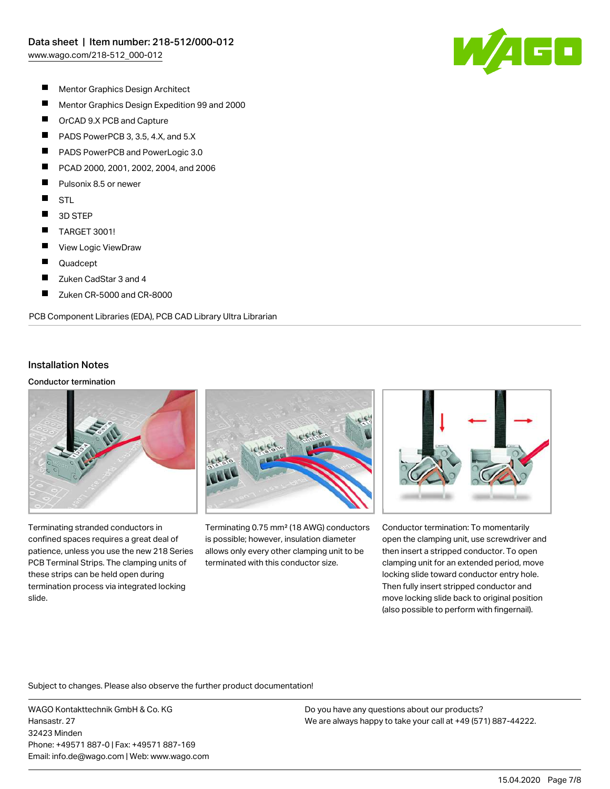

- $\blacksquare$ Mentor Graphics Design Architect
- $\blacksquare$ Mentor Graphics Design Expedition 99 and 2000
- $\blacksquare$ OrCAD 9.X PCB and Capture
- $\blacksquare$ PADS PowerPCB 3, 3.5, 4.X, and 5.X
- П PADS PowerPCB and PowerLogic 3.0
- П PCAD 2000, 2001, 2002, 2004, and 2006
- П Pulsonix 8.5 or newer
- $\blacksquare$ **STL**
- $\blacksquare$ 3D STEP
- $\blacksquare$ TARGET 3001!
- $\blacksquare$ View Logic ViewDraw
- П Quadcept
- $\blacksquare$ Zuken CadStar 3 and 4
- $\blacksquare$ Zuken CR-5000 and CR-8000

PCB Component Libraries (EDA), PCB CAD Library Ultra Librarian

## Installation Notes

#### Conductor termination



Terminating stranded conductors in confined spaces requires a great deal of patience, unless you use the new 218 Series PCB Terminal Strips. The clamping units of these strips can be held open during termination process via integrated locking slide.



Terminating 0.75 mm² (18 AWG) conductors is possible; however, insulation diameter allows only every other clamping unit to be terminated with this conductor size.



Conductor termination: To momentarily open the clamping unit, use screwdriver and then insert a stripped conductor. To open clamping unit for an extended period, move locking slide toward conductor entry hole. Then fully insert stripped conductor and move locking slide back to original position (also possible to perform with fingernail).

Subject to changes. Please also observe the further product documentation!

WAGO Kontakttechnik GmbH & Co. KG Hansastr. 27 32423 Minden Phone: +49571 887-0 | Fax: +49571 887-169 Email: info.de@wago.com | Web: www.wago.com